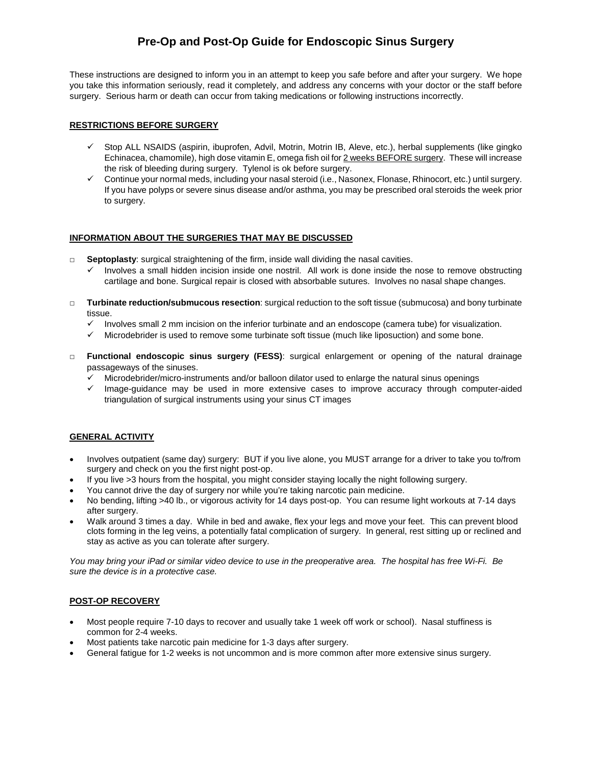# **Pre-Op and Post-Op Guide for Endoscopic Sinus Surgery**

These instructions are designed to inform you in an attempt to keep you safe before and after your surgery. We hope you take this information seriously, read it completely, and address any concerns with your doctor or the staff before surgery. Serious harm or death can occur from taking medications or following instructions incorrectly.

#### **RESTRICTIONS BEFORE SURGERY**

- Stop ALL NSAIDS (aspirin, ibuprofen, Advil, Motrin, Motrin IB, Aleve, etc.), herbal supplements (like gingko Echinacea, chamomile), high dose vitamin E, omega fish oil for 2 weeks BEFORE surgery. These will increase the risk of bleeding during surgery. Tylenol is ok before surgery.
- $\checkmark$  Continue your normal meds, including your nasal steroid (i.e., Nasonex, Flonase, Rhinocort, etc.) until surgery. If you have polyps or severe sinus disease and/or asthma, you may be prescribed oral steroids the week prior to surgery.

#### **INFORMATION ABOUT THE SURGERIES THAT MAY BE DISCUSSED**

- □ **Septoplasty**: surgical straightening of the firm, inside wall dividing the nasal cavities.
	- $\checkmark$  Involves a small hidden incision inside one nostril. All work is done inside the nose to remove obstructing cartilage and bone. Surgical repair is closed with absorbable sutures. Involves no nasal shape changes.
- □ **Turbinate reduction/submucous resection**: surgical reduction to the soft tissue (submucosa) and bony turbinate tissue.
	- Involves small 2 mm incision on the inferior turbinate and an endoscope (camera tube) for visualization.
	- Microdebrider is used to remove some turbinate soft tissue (much like liposuction) and some bone.
- □ **Functional endoscopic sinus surgery (FESS)**: surgical enlargement or opening of the natural drainage passageways of the sinuses.
	- $\checkmark$  Microdebrider/micro-instruments and/or balloon dilator used to enlarge the natural sinus openings
	- $\checkmark$  Image-guidance may be used in more extensive cases to improve accuracy through computer-aided triangulation of surgical instruments using your sinus CT images

## **GENERAL ACTIVITY**

- Involves outpatient (same day) surgery: BUT if you live alone, you MUST arrange for a driver to take you to/from surgery and check on you the first night post-op.
- If you live >3 hours from the hospital, you might consider staying locally the night following surgery.
- You cannot drive the day of surgery nor while you're taking narcotic pain medicine.
- No bending, lifting >40 lb., or vigorous activity for 14 days post-op. You can resume light workouts at 7-14 days after surgery.
- Walk around 3 times a day. While in bed and awake, flex your legs and move your feet. This can prevent blood clots forming in the leg veins, a potentially fatal complication of surgery. In general, rest sitting up or reclined and stay as active as you can tolerate after surgery.

*You may bring your iPad or similar video device to use in the preoperative area. The hospital has free Wi-Fi. Be sure the device is in a protective case.*

#### **POST-OP RECOVERY**

- Most people require 7-10 days to recover and usually take 1 week off work or school). Nasal stuffiness is common for 2-4 weeks.
- Most patients take narcotic pain medicine for 1-3 days after surgery.
- General fatigue for 1-2 weeks is not uncommon and is more common after more extensive sinus surgery.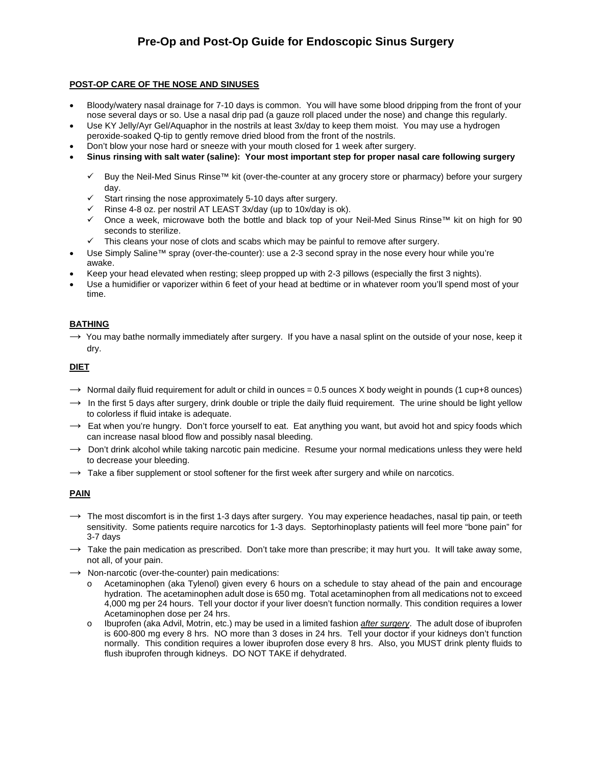# **POST-OP CARE OF THE NOSE AND SINUSES**

- Bloody/watery nasal drainage for 7-10 days is common. You will have some blood dripping from the front of your nose several days or so. Use a nasal drip pad (a gauze roll placed under the nose) and change this regularly.
- Use KY Jelly/Ayr Gel/Aquaphor in the nostrils at least 3x/day to keep them moist. You may use a hydrogen peroxide-soaked Q-tip to gently remove dried blood from the front of the nostrils.
- Don't blow your nose hard or sneeze with your mouth closed for 1 week after surgery.
- **Sinus rinsing with salt water (saline): Your most important step for proper nasal care following surgery**
	- Buy the Neil-Med Sinus Rinse™ kit (over-the-counter at any grocery store or pharmacy) before your surgery day.
	- $\checkmark$  Start rinsing the nose approximately 5-10 days after surgery.
	- $\checkmark$  Rinse 4-8 oz. per nostril AT LEAST 3x/day (up to 10x/day is ok).
	- Once a week, microwave both the bottle and black top of your Neil-Med Sinus Rinse™ kit on high for 90 seconds to sterilize.
	- $\checkmark$  This cleans your nose of clots and scabs which may be painful to remove after surgery.
- Use Simply Saline™ spray (over-the-counter): use a 2-3 second spray in the nose every hour while you're awake.
- Keep your head elevated when resting; sleep propped up with 2-3 pillows (especially the first 3 nights).
- Use a humidifier or vaporizer within 6 feet of your head at bedtime or in whatever room you'll spend most of your time.

# **BATHING**

 $\rightarrow$  You may bathe normally immediately after surgery. If you have a nasal splint on the outside of your nose, keep it dry.

## **DIET**

- $\rightarrow$  Normal daily fluid requirement for adult or child in ounces = 0.5 ounces X body weight in pounds (1 cup+8 ounces)
- $\rightarrow$  In the first 5 days after surgery, drink double or triple the daily fluid requirement. The urine should be light yellow to colorless if fluid intake is adequate.
- $\rightarrow$  Eat when you're hungry. Don't force yourself to eat. Eat anything you want, but avoid hot and spicy foods which can increase nasal blood flow and possibly nasal bleeding.
- $\rightarrow$  Don't drink alcohol while taking narcotic pain medicine. Resume your normal medications unless they were held to decrease your bleeding.
- $\rightarrow$  Take a fiber supplement or stool softener for the first week after surgery and while on narcotics.

## **PAIN**

- $\rightarrow$  The most discomfort is in the first 1-3 days after surgery. You may experience headaches, nasal tip pain, or teeth sensitivity. Some patients require narcotics for 1-3 days. Septorhinoplasty patients will feel more "bone pain" for 3-7 days
- $\rightarrow$  Take the pain medication as prescribed. Don't take more than prescribe; it may hurt you. It will take away some, not all, of your pain.
- $\rightarrow$  Non-narcotic (over-the-counter) pain medications:
	- o Acetaminophen (aka Tylenol) given every 6 hours on a schedule to stay ahead of the pain and encourage hydration. The acetaminophen adult dose is 650 mg. Total acetaminophen from all medications not to exceed 4,000 mg per 24 hours. Tell your doctor if your liver doesn't function normally. This condition requires a lower Acetaminophen dose per 24 hrs.
	- o Ibuprofen (aka Advil, Motrin, etc.) may be used in a limited fashion *after surgery*. The adult dose of ibuprofen is 600-800 mg every 8 hrs. NO more than 3 doses in 24 hrs. Tell your doctor if your kidneys don't function normally. This condition requires a lower ibuprofen dose every 8 hrs. Also, you MUST drink plenty fluids to flush ibuprofen through kidneys. DO NOT TAKE if dehydrated.